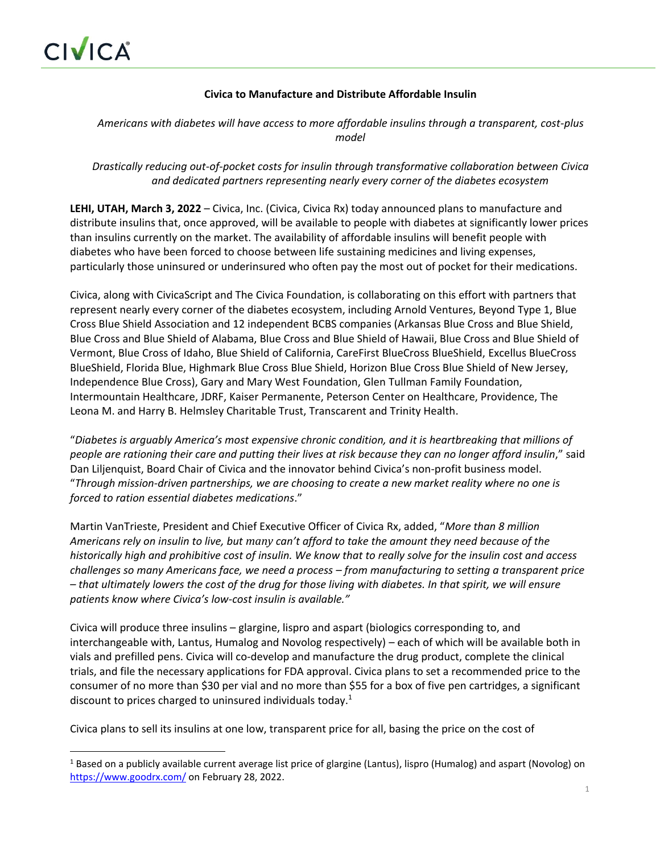# **Civica to Manufacture and Distribute Affordable Insulin**

# *Americans with diabetes will have access to more affordable insulins through a transparent, cost-plus model*

*Drastically reducing out-of-pocket costs for insulin through transformative collaboration between Civica and dedicated partners representing nearly every corner of the diabetes ecosystem*

**LEHI, UTAH, March 3, 2022** – Civica, Inc. (Civica, Civica Rx) today announced plans to manufacture and distribute insulins that, once approved, will be available to people with diabetes at significantly lower prices than insulins currently on the market. The availability of affordable insulins will benefit people with diabetes who have been forced to choose between life sustaining medicines and living expenses, particularly those uninsured or underinsured who often pay the most out of pocket for their medications.

Civica, along with CivicaScript and The Civica Foundation, is collaborating on this effort with partners that represent nearly every corner of the diabetes ecosystem, including Arnold Ventures, Beyond Type 1, Blue Cross Blue Shield Association and 12 independent BCBS companies (Arkansas Blue Cross and Blue Shield, Blue Cross and Blue Shield of Alabama, Blue Cross and Blue Shield of Hawaii, Blue Cross and Blue Shield of Vermont, Blue Cross of Idaho, Blue Shield of California, CareFirst BlueCross BlueShield, Excellus BlueCross BlueShield, Florida Blue, Highmark Blue Cross Blue Shield, Horizon Blue Cross Blue Shield of New Jersey, Independence Blue Cross), Gary and Mary West Foundation, Glen Tullman Family Foundation, Intermountain Healthcare, JDRF, Kaiser Permanente, Peterson Center on Healthcare, Providence, The Leona M. and Harry B. Helmsley Charitable Trust, Transcarent and Trinity Health.

"*Diabetes is arguably America's most expensive chronic condition, and it is heartbreaking that millions of people are rationing their care and putting their lives at risk because they can no longer afford insulin*," said Dan Liljenquist, Board Chair of Civica and the innovator behind Civica's non-profit business model. "*Through mission-driven partnerships, we are choosing to create a new market reality where no one is forced to ration essential diabetes medications*."

Martin VanTrieste, President and Chief Executive Officer of Civica Rx, added, "*More than 8 million Americans rely on insulin to live, but many can't afford to take the amount they need because of the historically high and prohibitive cost of insulin. We know that to really solve for the insulin cost and access challenges so many Americans face, we need a process – from manufacturing to setting a transparent price – that ultimately lowers the cost of the drug for those living with diabetes. In that spirit, we will ensure patients know where Civica's low-cost insulin is available."* 

Civica will produce three insulins – glargine, lispro and aspart (biologics corresponding to, and interchangeable with, Lantus, Humalog and Novolog respectively) – each of which will be available both in vials and prefilled pens. Civica will co-develop and manufacture the drug product, complete the clinical trials, and file the necessary applications for FDA approval. Civica plans to set a recommended price to the consumer of no more than \$30 per vial and no more than \$55 for a box of five pen cartridges, a significant discount to prices charged to uninsured individuals today.<sup>1</sup>

Civica plans to sell its insulins at one low, transparent price for all, basing the price on the cost of

<sup>&</sup>lt;sup>1</sup> Based on a publicly available current average list price of glargine (Lantus), lispro (Humalog) and aspart (Novolog) on <https://www.goodrx.com/> on February 28, 2022.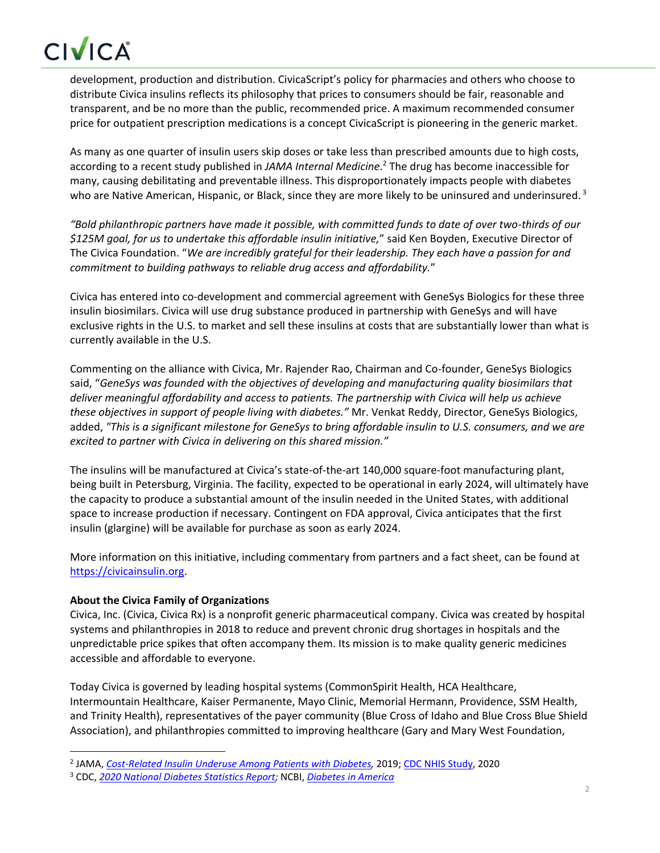# CIVICA

development, production and distribution. CivicaScript's policy for pharmacies and others who choose to distribute Civica insulins reflects its philosophy that prices to consumers should be fair, reasonable and transparent, and be no more than the public, recommended price. A maximum recommended consumer price for outpatient prescription medications is a concept CivicaScript is pioneering in the generic market.

As many as one quarter of insulin users skip doses or take less than prescribed amounts due to high costs, according to a recent study published in *JAMA Internal Medicine*. 2 The drug has become inaccessible for many, causing debilitating and preventable illness. This disproportionately impacts people with diabetes who are Native American, Hispanic, or Black, since they are more likely to be uninsured and underinsured.<sup>3</sup>

*"Bold philanthropic partners have made it possible, with committed funds to date of over two-thirds of our \$125M goal, for us to undertake this affordable insulin initiative,*" said Ken Boyden, Executive Director of The Civica Foundation. "*We are incredibly grateful for their leadership. They each have a passion for and commitment to building pathways to reliable drug access and affordability.*"

Civica has entered into co-development and commercial agreement with GeneSys Biologics for these three insulin biosimilars. Civica will use drug substance produced in partnership with GeneSys and will have exclusive rights in the U.S. to market and sell these insulins at costs that are substantially lower than what is currently available in the U.S.

Commenting on the alliance with Civica, Mr. Rajender Rao, Chairman and Co-founder, GeneSys Biologics said, "*GeneSys was founded with the objectives of developing and manufacturing quality biosimilars that deliver meaningful affordability and access to patients. The partnership with Civica will help us achieve these objectives in support of people living with diabetes."* Mr. Venkat Reddy, Director, GeneSys Biologics, added, *"This is a significant milestone for GeneSys to bring affordable insulin to U.S. consumers, and we are excited to partner with Civica in delivering on this shared mission."*

The insulins will be manufactured at Civica's state-of-the-art 140,000 square-foot manufacturing plant, being built in Petersburg, Virginia. The facility, expected to be operational in early 2024, will ultimately have the capacity to produce a substantial amount of the insulin needed in the United States, with additional space to increase production if necessary. Contingent on FDA approval, Civica anticipates that the first insulin (glargine) will be available for purchase as soon as early 2024.

More information on this initiative, including commentary from partners and a fact sheet, can be found at [https://civicainsulin.org.](https://nam02.safelinks.protection.outlook.com/?url=https%3A%2F%2Fcivicainsulin.org%2F&data=04%7C01%7CBNagle%40SARDVERB.com%7C71cf1fbbaba64489770708d9fc6266da%7Cdfc7827b9c274ffbb94f96d3b0b06aa1%7C0%7C0%7C637818321837848385%7CUnknown%7CTWFpbGZsb3d8eyJWIjoiMC4wLjAwMDAiLCJQIjoiV2luMzIiLCJBTiI6Ik1haWwiLCJXVCI6Mn0%3D%7C3000&sdata=oWgi4DNxYBfkzrPWqyae98btGmJ6QlJxIucfIOGztqs%3D&reserved=0)

# **About the Civica Family of Organizations**

Civica, Inc. (Civica, Civica Rx) is a nonprofit generic pharmaceutical company. Civica was created by hospital systems and philanthropies in 2018 to reduce and prevent chronic drug shortages in hospitals and the unpredictable price spikes that often accompany them. Its mission is to make quality generic medicines accessible and affordable to everyone.

Today Civica is governed by leading hospital systems (CommonSpirit Health, HCA Healthcare, Intermountain Healthcare, Kaiser Permanente, Mayo Clinic, Memorial Hermann, Providence, SSM Health, and Trinity Health), representatives of the payer community (Blue Cross of Idaho and Blue Cross Blue Shield Association), and philanthropies committed to improving healthcare (Gary and Mary West Foundation,

<sup>2</sup> JAMA, *[Cost-Related Insulin Underuse Among Patients with Diabetes,](https://jamanetwork.com/journals/jamainternalmedicine/fullarticle/2717499)* 2019[; CDC NHIS Study,](https://www.cdc.gov/pcd/issues/2020/20_0244.htm) 2020

<sup>3</sup> CDC, *[2020 National Diabetes Statistics Report;](https://www.cdc.gov/diabetes/pdfs/data/statistics/national-diabetes-statistics-report.pdf)* NCBI, *[Diabetes in America](https://www.ncbi.nlm.nih.gov/books/NBK567996/)*